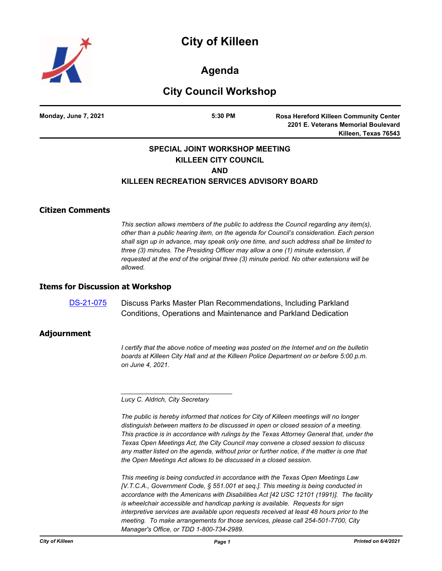# **City of Killeen**



**Agenda**

## **City Council Workshop**

**Monday, June 7, 2021 5:30 PM**

**Rosa Hereford Killeen Community Center 2201 E. Veterans Memorial Boulevard Killeen, Texas 76543**

#### **SPECIAL JOINT WORKSHOP MEETING KILLEEN CITY COUNCIL AND KILLEEN RECREATION SERVICES ADVISORY BOARD**

#### **Citizen Comments**

*This section allows members of the public to address the Council regarding any item(s), other than a public hearing item, on the agenda for Council's consideration. Each person shall sign up in advance, may speak only one time, and such address shall be limited to three (3) minutes. The Presiding Officer may allow a one (1) minute extension, if requested at the end of the original three (3) minute period. No other extensions will be allowed.*

#### **Items for Discussion at Workshop**

[DS-21-075](http://killeen.legistar.com/gateway.aspx?m=l&id=/matter.aspx?key=5502) Discuss Parks Master Plan Recommendations, Including Parkland Conditions, Operations and Maintenance and Parkland Dedication

#### **Adjournment**

*I* certify that the above notice of meeting was posted on the Internet and on the bulletin *boards at Killeen City Hall and at the Killeen Police Department on or before 5:00 p.m. on June 4, 2021.*

*Lucy C. Aldrich, City Secretary* 

*\_\_\_\_\_\_\_\_\_\_\_\_\_\_\_\_\_\_\_\_\_\_\_\_\_\_\_\_\_\_\_*

*The public is hereby informed that notices for City of Killeen meetings will no longer distinguish between matters to be discussed in open or closed session of a meeting. This practice is in accordance with rulings by the Texas Attorney General that, under the Texas Open Meetings Act, the City Council may convene a closed session to discuss any matter listed on the agenda, without prior or further notice, if the matter is one that the Open Meetings Act allows to be discussed in a closed session.*

*This meeting is being conducted in accordance with the Texas Open Meetings Law [V.T.C.A., Government Code, § 551.001 et seq.]. This meeting is being conducted in accordance with the Americans with Disabilities Act [42 USC 12101 (1991)]. The facility is wheelchair accessible and handicap parking is available. Requests for sign interpretive services are available upon requests received at least 48 hours prior to the meeting. To make arrangements for those services, please call 254-501-7700, City Manager's Office, or TDD 1-800-734-2989.*